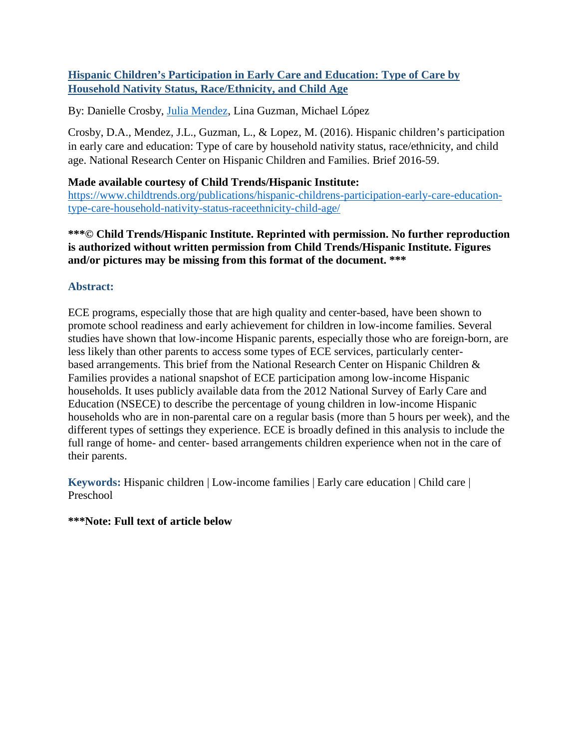### **Hispanic Children's Participation in Early Care and Education: Type of Care by Household Nativity Status, Race/Ethnicity, and Child Age**

By: Danielle Crosby, [Julia Mendez,](http://libres.uncg.edu/ir/uncg/clist.aspx?id=2862) Lina Guzman, Michael López

Crosby, D.A., Mendez, J.L., Guzman, L., & Lopez, M. (2016). Hispanic children's participation in early care and education: Type of care by household nativity status, race/ethnicity, and child age. National Research Center on Hispanic Children and Families. Brief 2016-59.

### **Made available courtesy of Child Trends/Hispanic Institute:**

[https://www.childtrends.org/publications/hispanic-childrens-participation-early-care-education](https://www.childtrends.org/publications/hispanic-childrens-participation-early-care-education-type-care-household-nativity-status-raceethnicity-child-age/)[type-care-household-nativity-status-raceethnicity-child-age/](https://www.childtrends.org/publications/hispanic-childrens-participation-early-care-education-type-care-household-nativity-status-raceethnicity-child-age/)

### **\*\*\*© Child Trends/Hispanic Institute. Reprinted with permission. No further reproduction is authorized without written permission from Child Trends/Hispanic Institute. Figures and/or pictures may be missing from this format of the document. \*\*\***

## **Abstract:**

ECE programs, especially those that are high quality and center-based, have been shown to promote school readiness and early achievement for children in low-income families. Several studies have shown that low-income Hispanic parents, especially those who are foreign-born, are less likely than other parents to access some types of ECE services, particularly centerbased arrangements. This brief from the National Research Center on Hispanic Children & Families provides a national snapshot of ECE participation among low-income Hispanic households. It uses publicly available data from the 2012 National Survey of Early Care and Education (NSECE) to describe the percentage of young children in low-income Hispanic households who are in non-parental care on a regular basis (more than 5 hours per week), and the different types of settings they experience. ECE is broadly defined in this analysis to include the full range of home- and center- based arrangements children experience when not in the care of their parents.

**Keywords:** Hispanic children | Low-income families | Early care education | Child care | Preschool

### **\*\*\*Note: Full text of article below**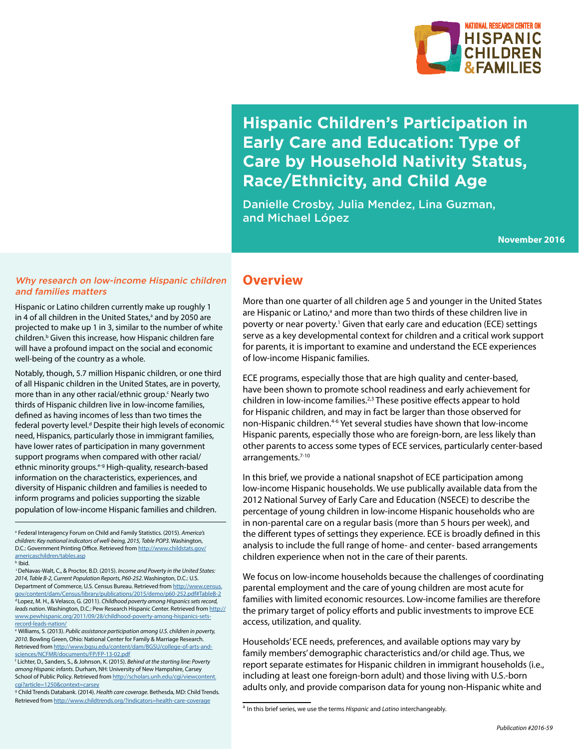

# **Hispanic Children's Participation in Early Care and Education: Type of Care by Household Nativity Status, Race/Ethnicity, and Child Age**

Danielle Crosby, Julia Mendez, Lina Guzman, and Michael López

**November 2016**

### Why research on low-income Hispanic children and families matters

Hispanic or Latino children currently make up roughly 1 in 4 of all children in the United States,<sup>a</sup> and by 2050 are projected to make up 1 in 3, similar to the number of white children.<sup>b</sup> Given this increase, how Hispanic children fare will have a profound impact on the social and economic well-being of the country as a whole.

Notably, though, 5.7 million Hispanic children, or one third of all Hispanic children in the United States, are in poverty, more than in any other racial/ethnic group.<sup>c</sup> Nearly two thirds of Hispanic children live in low-income families, defined as having incomes of less than two times the federal poverty level.<sup>d</sup> Despite their high levels of economic need, Hispanics, particularly those in immigrant families, have lower rates of participation in many government support programs when compared with other racial/ ethnic minority groups.<sup>e-g</sup> High-quality, research-based information on the characteristics, experiences, and diversity of Hispanic children and families is needed to inform programs and policies supporting the sizable population of low-income Hispanic families and children.

a Federal Interagency Forum on Child and Family Statistics. (2015). *America's children: Key national indicators of well-being, 2015, Table POP3*. Washington, D.C.: Government Printing Office. Retrieved from [http://www.childstats.gov/](http://www.childstats.gov/americaschildren/tables.asp) [americaschildren/tables.asp](http://www.childstats.gov/americaschildren/tables.asp)

 c DeNavas-Walt, C., & Proctor, B.D. (2015). *Income and Poverty in the United States: 2014, Table B-2, Current Population Reports, P60-252*. Washington, D.C.: U.S. Department of Commerce, U.S. Census Bureau. Retrieved from [http://www.census.](http://www.census.gov/content/dam/Census/library/publications/2015/demo/p60-252.pdf#TableB-2) [gov/content/dam/Census/library/publications/2015/demo/p60-252.pdf#TableB-2](http://www.census.gov/content/dam/Census/library/publications/2015/demo/p60-252.pdf#TableB-2) d Lopez, M. H., & Velasco, G. (2011). *Childhood poverty among Hispanics sets record, leads nation*. Washington, D.C.: Pew Research Hispanic Center. Retrieved from [http://](http://www.pewhispanic.org/2011/09/28/childhood-poverty-among-hispanics-sets-record-leads-nation/) [www.pewhispanic.org/2011/09/28/childhood-poverty-among-hispanics-sets](http://www.pewhispanic.org/2011/09/28/childhood-poverty-among-hispanics-sets-record-leads-nation/)[record-leads-nation/](http://www.pewhispanic.org/2011/09/28/childhood-poverty-among-hispanics-sets-record-leads-nation/)

e Williams, S. (2013). *Public assistance participation among U.S. children in poverty, 2010*. Bowling Green, Ohio: National Center for Family & Marriage Research. Retrieved from [http://www.bgsu.edu/content/dam/BGSU/college-of-arts-and](http://www.bgsu.edu/content/dam/BGSU/college-of-arts-and-sciences/NCFMR/documents/FP/FP-13-02.pdf)[sciences/NCFMR/documents/FP/FP-13-02.pdf](http://www.bgsu.edu/content/dam/BGSU/college-of-arts-and-sciences/NCFMR/documents/FP/FP-13-02.pdf)

f Lichter, D., Sanders, S., & Johnson, K. (2015). *Behind at the starting line: Poverty among Hispanic infants*. Durham, NH: University of New Hampshire, Carsey School of Public Policy. Retrieved from [http://scholars.unh.edu/cgi/viewcontent.](http://scholars.unh.edu/cgi/viewcontent.cgi?article=1250&context=carsey) [cgi?article=1250&context=carsey](http://scholars.unh.edu/cgi/viewcontent.cgi?article=1250&context=carsey)

g Child Trends Databank. (2014). *Health care coverage*. Bethesda, MD: Child Trends. Retrieved from <http://www.childtrends.org/?indicators=health-care-coverage>

## **Overview**

More than one quarter of all children age 5 and younger in the United States are Hispanic or Latino,<sup>a</sup> and more than two thirds of these children live in poverty or near poverty.<sup>1</sup> Given that early care and education (ECE) settings serve as a key developmental context for children and a critical work support for parents, it is important to examine and understand the ECE experiences of low-income Hispanic families.

ECE programs, especially those that are high quality and center-based, have been shown to promote school readiness and early achievement for children in low-income families.<sup>2,3</sup> These positive effects appear to hold for Hispanic children, and may in fact be larger than those observed for non-Hispanic children.<sup>46</sup> Yet several studies have shown that low-income Hispanic parents, especially those who are foreign-born, are less likely than other parents to access some types of ECE services, particularly center-based arrangements.<sup>7-10</sup>

In this brief, we provide a national snapshot of ECE participation among low-income Hispanic households. We use publically available data from the 2012 National Survey of Early Care and Education (NSECE) to describe the percentage of young children in low-income Hispanic households who are in non-parental care on a regular basis (more than 5 hours per week), and the different types of settings they experience. ECE is broadly defined in this analysis to include the full range of home- and center- based arrangements children experience when not in the care of their parents.

We focus on low-income households because the challenges of coordinating parental employment and the care of young children are most acute for families with limited economic resources. Low-income families are therefore the primary target of policy efforts and public investments to improve ECE access, utilization, and quality.

Households' ECE needs, preferences, and available options may vary by family members' demographic characteristics and/or child age. Thus, we report separate estimates for Hispanic children in immigrant households (i.e., including at least one foreign-born adult) and those living with U.S.-born adults only, and provide comparison data for young non-Hispanic white and

b Ibid.

<sup>a</sup> In this brief series, we use the terms *Hispanic* and *Latino* interchangeably.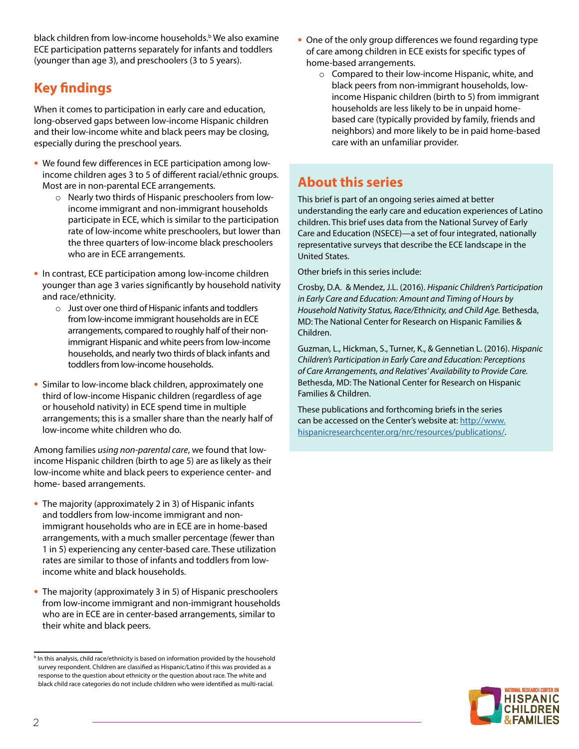black children from low-income households.<sup>b</sup> We also examine ECE participation patterns separately for infants and toddlers (younger than age 3), and preschoolers (3 to 5 years).

# **Key findings**

When it comes to participation in early care and education, long-observed gaps between low-income Hispanic children and their low-income white and black peers may be closing, especially during the preschool years.

- **•** We found few differences in ECE participation among lowincome children ages 3 to 5 of different racial/ethnic groups. Most are in non-parental ECE arrangements.
	- o Nearly two thirds of Hispanic preschoolers from lowincome immigrant and non-immigrant households participate in ECE, which is similar to the participation rate of low-income white preschoolers, but lower than the three quarters of low-income black preschoolers who are in ECE arrangements.
- **•** In contrast, ECE participation among low-income children younger than age 3 varies significantly by household nativity and race/ethnicity.
	- o Just over one third of Hispanic infants and toddlers from low-income immigrant households are in ECE arrangements, compared to roughly half of their nonimmigrant Hispanic and white peers from low-income households, and nearly two thirds of black infants and toddlers from low-income households.
- **•** Similar to low-income black children, approximately one third of low-income Hispanic children (regardless of age or household nativity) in ECE spend time in multiple arrangements; this is a smaller share than the nearly half of low-income white children who do.

Among families *using non-parental care*, we found that lowincome Hispanic children (birth to age 5) are as likely as their low-income white and black peers to experience center- and home- based arrangements.

- **•** The majority (approximately 2 in 3) of Hispanic infants and toddlers from low-income immigrant and nonimmigrant households who are in ECE are in home-based arrangements, with a much smaller percentage (fewer than 1 in 5) experiencing any center-based care. These utilization rates are similar to those of infants and toddlers from lowincome white and black households.
- **•** The majority (approximately 3 in 5) of Hispanic preschoolers from low-income immigrant and non-immigrant households who are in ECE are in center-based arrangements, similar to their white and black peers.
- **•** One of the only group differences we found regarding type of care among children in ECE exists for specific types of home-based arrangements.
	- o Compared to their low-income Hispanic, white, and black peers from non-immigrant households, lowincome Hispanic children (birth to 5) from immigrant households are less likely to be in unpaid homebased care (typically provided by family, friends and neighbors) and more likely to be in paid home-based care with an unfamiliar provider.

# **About this series**

This brief is part of an ongoing series aimed at better understanding the early care and education experiences of Latino children. This brief uses data from the National Survey of Early Care and Education (NSECE)—a set of four integrated, nationally representative surveys that describe the ECE landscape in the United States.

Other briefs in this series include:

Crosby, D.A. & Mendez, J.L. (2016). *Hispanic Children's Participation in Early Care and Education: Amount and Timing of Hours by Household Nativity Status, Race/Ethnicity, and Child Age.* Bethesda, MD: The National Center for Research on Hispanic Families & Children.

Guzman, L., Hickman, S., Turner, K., & Gennetian L. (2016). *Hispanic Children's Participation in Early Care and Education: Perceptions of Care Arrangements, and Relatives' Availability to Provide Care.* Bethesda, MD: The National Center for Research on Hispanic Families & Children.

These publications and forthcoming briefs in the series can be accessed on the Center's website at: [http://www.](http://www.hispanicresearchcenter.org/nrc/resources/publications/) [hispanicresearchcenter.org/nrc/resources/publications/.](http://www.hispanicresearchcenter.org/nrc/resources/publications/)



**h** In this analysis, child race/ethnicity is based on information provided by the household survey respondent. Children are classified as Hispanic/Latino if this was provided as a response to the question about ethnicity or the question about race. The white and black child race categories do not include children who were identified as multi-racial.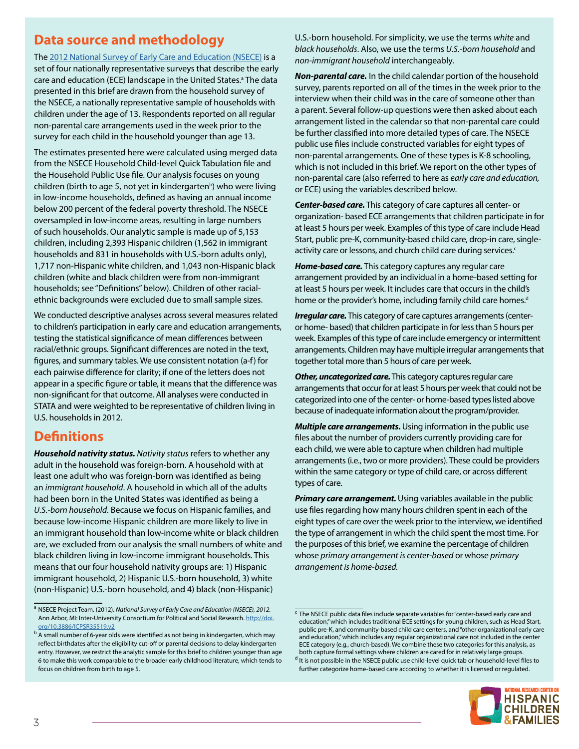# **Data source and methodology**

The [2012 National Survey of Early Care and Education \(NSECE\)](http://www.acf.hhs.gov/opre/research/project/national-survey-of-early-care-and-education-nsece-2010-2014) is a set of four nationally representative surveys that describe the early care and education (ECE) landscape in the United States.<sup>a</sup> The data presented in this brief are drawn from the household survey of the NSECE, a nationally representative sample of households with children under the age of 13. Respondents reported on all regular non-parental care arrangements used in the week prior to the survey for each child in the household younger than age 13.

The estimates presented here were calculated using merged data from the NSECE Household Child-level Quick Tabulation file and the Household Public Use file. Our analysis focuses on young children (birth to age 5, not yet in kindergarten<sup>b</sup>) who were living in low-income households, defined as having an annual income below 200 percent of the federal poverty threshold. The NSECE oversampled in low-income areas, resulting in large numbers of such households. Our analytic sample is made up of 5,153 children, including 2,393 Hispanic children (1,562 in immigrant households and 831 in households with U.S.-born adults only), 1,717 non-Hispanic white children, and 1,043 non-Hispanic black children (white and black children were from non-immigrant households; see "Definitions" below). Children of other racialethnic backgrounds were excluded due to small sample sizes.

We conducted descriptive analyses across several measures related to children's participation in early care and education arrangements, testing the statistical significance of mean differences between racial/ethnic groups. Significant differences are noted in the text, figures, and summary tables. We use consistent notation (a-f) for each pairwise difference for clarity; if one of the letters does not appear in a specific figure or table, it means that the difference was non-significant for that outcome. All analyses were conducted in STATA and were weighted to be representative of children living in U.S. households in 2012.

# **Definitions**

*Household nativity status. Nativity status* refers to whether any adult in the household was foreign-born. A household with at least one adult who was foreign-born was identified as being an *immigrant household*. A household in which all of the adults had been born in the United States was identified as being a *U.S.-born household*. Because we focus on Hispanic families, and because low-income Hispanic children are more likely to live in an immigrant household than low-income white or black children are, we excluded from our analysis the small numbers of white and black children living in low-income immigrant households. This means that our four household nativity groups are: 1) Hispanic immigrant household, 2) Hispanic U.S.-born household, 3) white (non-Hispanic) U.S.-born household, and 4) black (non-Hispanic)

U.S.-born household. For simplicity, we use the terms *white* and *black households*. Also, we use the terms *U.S.-born household* and *non-immigrant household* interchangeably.

*Non-parental care.* In the child calendar portion of the household survey, parents reported on all of the times in the week prior to the interview when their child was in the care of someone other than a parent. Several follow-up questions were then asked about each arrangement listed in the calendar so that non-parental care could be further classified into more detailed types of care. The NSECE public use files include constructed variables for eight types of non-parental arrangements. One of these types is K-8 schooling, which is not included in this brief. We report on the other types of non-parental care (also referred to here as *early care and education,* or ECE) using the variables described below.

*Center-based care.* This category of care captures all center- or organization- based ECE arrangements that children participate in for at least 5 hours per week. Examples of this type of care include Head Start, public pre-K, community-based child care, drop-in care, singleactivity care or lessons, and church child care during services.<sup>c</sup>

*Home-based care.* This category captures any regular care arrangement provided by an individual in a home-based setting for at least 5 hours per week. It includes care that occurs in the child's home or the provider's home, including family child care homes.<sup>d</sup>

*Irregular care.* This category of care captures arrangements (centeror home- based) that children participate in for less than 5 hours per week. Examples of this type of care include emergency or intermittent arrangements. Children may have multiple irregular arrangements that together total more than 5 hours of care per week.

*Other, uncategorized care.* This category captures regular care arrangements that occur for at least 5 hours per week that could not be categorized into one of the center- or home-based types listed above because of inadequate information about the program/provider.

*Multiple care arrangements.* Using information in the public use files about the number of providers currently providing care for each child, we were able to capture when children had multiple arrangements (i.e., two or more providers). These could be providers within the same category or type of child care, or across different types of care.

*Primary care arrangement.* Using variables available in the public use files regarding how many hours children spent in each of the eight types of care over the week prior to the interview, we identified the type of arrangement in which the child spent the most time. For the purposes of this brief, we examine the percentage of children whose *primary arrangement is center-based* or whose *primary arrangement is home-based.*

 $^{\text{d}}$  It is not possible in the NSECE public use child-level quick tab or household-level files to further categorize home-based care according to whether it is licensed or regulated.



<sup>a</sup> NSECE Project Team. (2012). *National Survey of Early Care and Education (NSECE), 2012.* Ann Arbor, MI: Inter-University Consortium for Political and Social Research. [http://doi.](http://doi.org/10.3886/ICPSR35519.v2) [org/10.3886/ICPSR35519.v2](http://doi.org/10.3886/ICPSR35519.v2)

<sup>&</sup>lt;sup>b</sup> A small number of 6-year olds were identified as not being in kindergarten, which may reflect birthdates after the eligibility cut-off or parental decisions to delay kindergarten entry. However, we restrict the analytic sample for this brief to children younger than age 6 to make this work comparable to the broader early childhood literature, which tends to focus on children from birth to age 5.

 $\overline{c}$  The NSECE public data files include separate variables for "center-based early care and education," which includes traditional ECE settings for young children, such as Head Start, public pre-K, and community-based child care centers, and "other organizational early care and education," which includes any regular organizational care not included in the center ECE category (e.g., church-based). We combine these two categories for this analysis, as both capture formal settings where children are cared for in relatively large groups.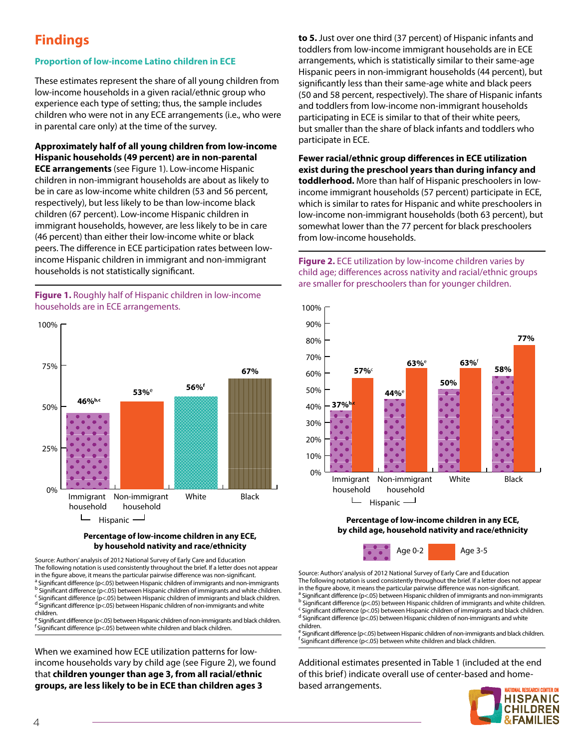# **Findings**

### **Proportion of low-income Latino children in ECE**

These estimates represent the share of all young children from low-income households in a given racial/ethnic group who experience each type of setting; thus, the sample includes children who were not in any ECE arrangements (i.e., who were in parental care only) at the time of the survey.

**Approximately half of all young children from low-income Hispanic households (49 percent) are in non-parental ECE arrangements** (see Figure 1). Low-income Hispanic children in non-immigrant households are about as likely to be in care as low-income white children (53 and 56 percent, respectively), but less likely to be than low-income black children (67 percent). Low-income Hispanic children in immigrant households, however, are less likely to be in care (46 percent) than either their low-income white or black peers. The difference in ECE participation rates between lowincome Hispanic children in immigrant and non-immigrant households is not statistically significant.

**Figure 1.** Roughly half of Hispanic children in low-income households are in ECE arrangements.



#### **Percentage of low-income children in any ECE, by household nativity and race/ethnicity**

Source: Authors' analysis of 2012 National Survey of Early Care and Education The following notation is used consistently throughout the brief. If a letter does not appear in the figure above, it means the particular pairwise difference was non-significant. <sup>a</sup> Significant difference (p<.05) between Hispanic children of immigrants and non-immigrants <sup>b</sup> Significant difference (p<.05) between Hispanic children of immigrants and white children. <sup>c</sup> Significant difference (p<.05) between Hispanic children of immigrants and black children. <sup>d</sup> Significant difference (p<.05) between Hispanic children of non-immigrants and white children. e Significant difference (p<.05) between Hispanic children of non-immigrants and black children.

f Significant difference (p<.05) between white children and black children.

When we examined how ECE utilization patterns for lowincome households vary by child age (see Figure 2), we found that **children younger than age 3, from all racial/ethnic groups, are less likely to be in ECE than children ages 3** 

**to 5.** Just over one third (37 percent) of Hispanic infants and toddlers from low-income immigrant households are in ECE arrangements, which is statistically similar to their same-age Hispanic peers in non-immigrant households (44 percent), but significantly less than their same-age white and black peers (50 and 58 percent, respectively). The share of Hispanic infants and toddlers from low-income non-immigrant households participating in ECE is similar to that of their white peers, but smaller than the share of black infants and toddlers who participate in ECE.

**Fewer racial/ethnic group differences in ECE utilization exist during the preschool years than during infancy and toddlerhood.** More than half of Hispanic preschoolers in lowincome immigrant households (57 percent) participate in ECE, which is similar to rates for Hispanic and white preschoolers in low-income non-immigrant households (both 63 percent), but somewhat lower than the 77 percent for black preschoolers from low-income households.

**Figure 2.** ECE utilization by low-income children varies by child age; differences across nativity and racial/ethnic groups are smaller for preschoolers than for younger children.



**Percentage of low-income children in any ECE, by child age, household nativity and race/ethnicity**



Source: Authors' analysis of 2012 National Survey of Early Care and Education The following notation is used consistently throughout the brief. If a letter does not appear in the figure above, it means the particular pairwise difference was non-significant. a<br>Significant difference (p<.05) between Hispanic children of immigrants and non-immigrants <sup>b</sup> Significant difference (p<.05) between Hispanic children of immigrants and white children. <sup>c</sup> Significant difference (p<.05) between Hispanic children of immigrants and black children. <sup>d</sup> Significant difference (p<.05) between Hispanic children of non-immigrants and white children.

<sup>e</sup> Significant difference (p<.05) between Hispanic children of non-immigrants and black children. f Significant difference (p<.05) between white children and black children.

Additional estimates presented in Table 1 (included at the end of this brief) indicate overall use of center-based and homebased arrangements.

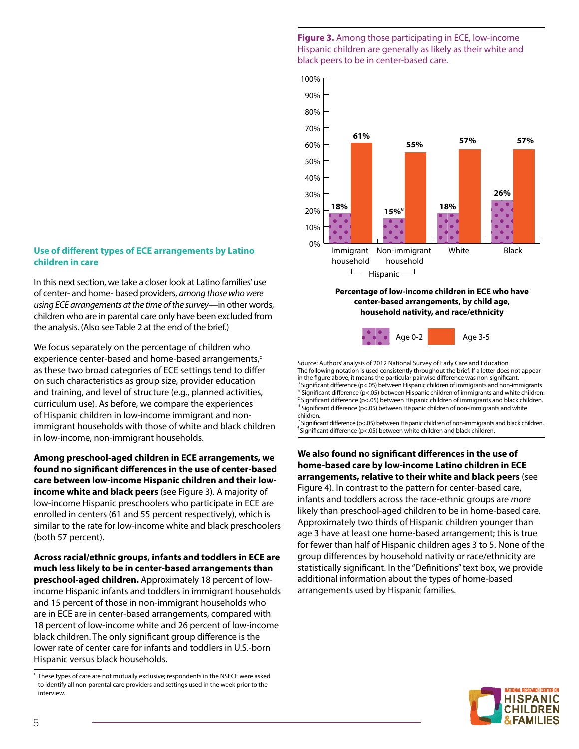### **Use of different types of ECE arrangements by Latino children in care**

In this next section, we take a closer look at Latino families' use of center- and home- based providers, *among those who were using ECE arrangements at the time of the survey*—in other words, children who are in parental care only have been excluded from the analysis. (Also see Table 2 at the end of the brief.)

We focus separately on the percentage of children who experience center-based and home-based arrangements,<sup>c</sup> as these two broad categories of ECE settings tend to differ on such characteristics as group size, provider education and training, and level of structure (e.g., planned activities, curriculum use). As before, we compare the experiences of Hispanic children in low-income immigrant and nonimmigrant households with those of white and black children in low-income, non-immigrant households.

**Among preschool-aged children in ECE arrangements, we found no significant differences in the use of center-based care between low-income Hispanic children and their lowincome white and black peers** (see Figure 3). A majority of low-income Hispanic preschoolers who participate in ECE are enrolled in centers (61 and 55 percent respectively), which is similar to the rate for low-income white and black preschoolers (both 57 percent).

**Across racial/ethnic groups, infants and toddlers in ECE are much less likely to be in center-based arrangements than preschool-aged children.** Approximately 18 percent of lowincome Hispanic infants and toddlers in immigrant households and 15 percent of those in non-immigrant households who are in ECE are in center-based arrangements, compared with 18 percent of low-income white and 26 percent of low-income black children. The only significant group difference is the lower rate of center care for infants and toddlers in U.S.-born Hispanic versus black households.

**Figure 3.** Among those participating in ECE, low-income Hispanic children are generally as likely as their white and black peers to be in center-based care.



#### **Percentage of low-income children in ECE who have center-based arrangements, by child age, household nativity, and race/ethnicity**



Source: Authors' analysis of 2012 National Survey of Early Care and Education The following notation is used consistently throughout the brief. If a letter does not appear in the figure above, it means the particular pairwise difference was non-significant. <sup>a</sup> Significant difference (p<.05) between Hispanic children of immigrants and non-immigrants <sup>b</sup> Significant difference (p<.05) between Hispanic children of immigrants and white children. <sup>c</sup> Significant difference (p<.05) between Hispanic children of immigrants and black children. <sup>d</sup> Significant difference (p<.05) between Hispanic children of non-immigrants and white children.

<sup>e</sup> Significant difference (p<.05) between Hispanic children of non-immigrants and black children.  $f$  Significant difference (p<.05) between white children and black children.

**We also found no significant differences in the use of home-based care by low-income Latino children in ECE arrangements, relative to their white and black peers** (see Figure 4). In contrast to the pattern for center-based care, infants and toddlers across the race-ethnic groups are *more* likely than preschool-aged children to be in home-based care. Approximately two thirds of Hispanic children younger than age 3 have at least one home-based arrangement; this is true for fewer than half of Hispanic children ages 3 to 5. None of the group differences by household nativity or race/ethnicity are statistically significant. In the "Definitions" text box, we provide additional information about the types of home-based arrangements used by Hispanic families.



 $\epsilon$  These types of care are not mutually exclusive; respondents in the NSECE were asked to identify all non-parental care providers and settings used in the week prior to the interview.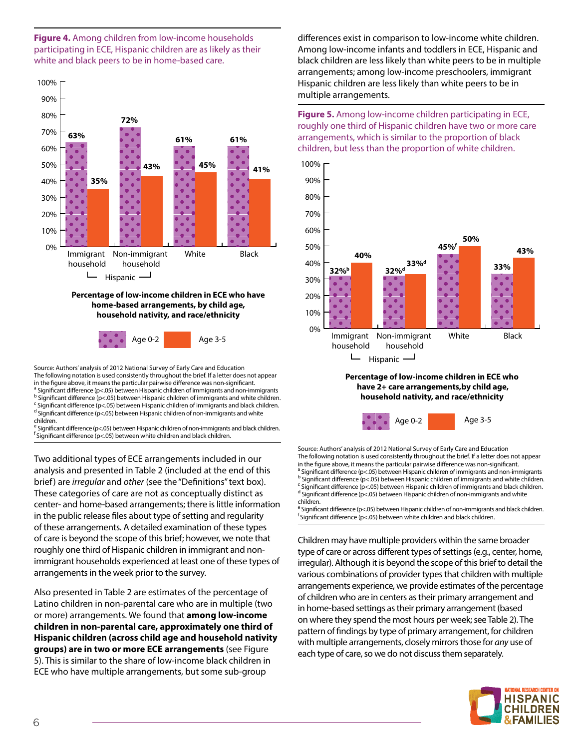



#### **Percentage of low-income children in ECE who have home-based arrangements, by child age, household nativity, and race/ethnicity**



Source: Authors' analysis of 2012 National Survey of Early Care and Education The following notation is used consistently throughout the brief. If a letter does not appear in the figure above, it means the particular pairwise difference was non-significant. a<br>Significant difference (p<.05) between Hispanic children of immigrants and non-immigrants <sup>b</sup> Significant difference (p<.05) between Hispanic children of immigrants and white children. <sup>c</sup> Significant difference (p<.05) between Hispanic children of immigrants and black children. <sup>d</sup> Significant difference (p<.05) between Hispanic children of non-immigrants and white

children. <sup>e</sup> Significant difference (p<.05) between Hispanic children of non-immigrants and black children.

 $f$  Significant difference (p<.05) between white children and black children.

Two additional types of ECE arrangements included in our analysis and presented in Table 2 (included at the end of this brief) are *irregular* and *other* (see the "Definitions" text box). These categories of care are not as conceptually distinct as center- and home-based arrangements; there is little information in the public release files about type of setting and regularity of these arrangements. A detailed examination of these types of care is beyond the scope of this brief; however, we note that roughly one third of Hispanic children in immigrant and nonimmigrant households experienced at least one of these types of arrangements in the week prior to the survey.

Also presented in Table 2 are estimates of the percentage of Latino children in non-parental care who are in multiple (two or more) arrangements. We found that **among low-income children in non-parental care, approximately one third of Hispanic children (across child age and household nativity groups) are in two or more ECE arrangements** (see Figure 5). This is similar to the share of low-income black children in ECE who have multiple arrangements, but some sub-group

differences exist in comparison to low-income white children. Among low-income infants and toddlers in ECE, Hispanic and black children are less likely than white peers to be in multiple arrangements; among low-income preschoolers, immigrant Hispanic children are less likely than white peers to be in multiple arrangements.

**Figure 5.** Among low-income children participating in ECE, roughly one third of Hispanic children have two or more care arrangements, which is similar to the proportion of black children, but less than the proportion of white children.





Source: Authors' analysis of 2012 National Survey of Early Care and Education The following notation is used consistently throughout the brief. If a letter does not appear in the figure above, it means the particular pairwise difference was non-significant. <sup>a</sup> Significant difference (p<.05) between Hispanic children of immigrants and non-immigrants <sup>b</sup> Significant difference (p<.05) between Hispanic children of immigrants and white children. <sup>c</sup> Significant difference (p<.05) between Hispanic children of immigrants and black children. <sup>d</sup> Significant difference (p<.05) between Hispanic children of non-immigrants and white children.

<sup>e</sup> Significant difference (p<.05) between Hispanic children of non-immigrants and black children.  $f$  Significant difference (p<.05) between white children and black children.

Children may have multiple providers within the same broader type of care or across different types of settings (e.g., center, home, irregular). Although it is beyond the scope of this brief to detail the various combinations of provider types that children with multiple arrangements experience, we provide estimates of the percentage of children who are in centers as their primary arrangement and in home-based settings as their primary arrangement (based on where they spend the most hours per week; see Table 2). The pattern of findings by type of primary arrangement, for children with multiple arrangements, closely mirrors those for *any* use of each type of care, so we do not discuss them separately.

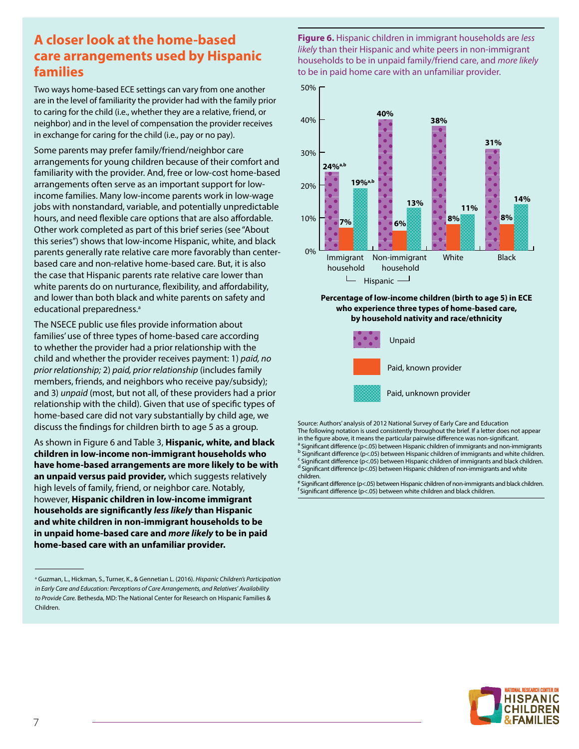# **A closer look at the home-based care arrangements used by Hispanic families**

Two ways home-based ECE settings can vary from one another are in the level of familiarity the provider had with the family prior to caring for the child (i.e., whether they are a relative, friend, or neighbor) and in the level of compensation the provider receives in exchange for caring for the child (i.e., pay or no pay).

Some parents may prefer family/friend/neighbor care arrangements for young children because of their comfort and familiarity with the provider. And, free or low-cost home-based arrangements often serve as an important support for lowincome families. Many low-income parents work in low-wage jobs with nonstandard, variable, and potentially unpredictable hours, and need flexible care options that are also affordable. Other work completed as part of this brief series (see "About this series") shows that low-income Hispanic, white, and black parents generally rate relative care more favorably than centerbased care and non-relative home-based care. But, it is also the case that Hispanic parents rate relative care lower than white parents do on nurturance, flexibility, and affordability, and lower than both black and white parents on safety and educational preparedness.<sup>a</sup>

The NSECE public use files provide information about families' use of three types of home-based care according to whether the provider had a prior relationship with the child and whether the provider receives payment: 1) *paid, no prior relationship;* 2) *paid, prior relationship* (includes family members, friends, and neighbors who receive pay/subsidy); and 3) *unpaid* (most, but not all, of these providers had a prior relationship with the child). Given that use of specific types of home-based care did not vary substantially by child age, we discuss the findings for children birth to age 5 as a group.

As shown in Figure 6 and Table 3, **Hispanic, white, and black children in low-income non-immigrant households who have home-based arrangements are more likely to be with an unpaid versus paid provider,** which suggests relatively high levels of family, friend, or neighbor care. Notably, however, **Hispanic children in low-income immigrant households are significantly** *less likely* **than Hispanic and white children in non-immigrant households to be in unpaid home-based care and** *more likely* **to be in paid home-based care with an unfamiliar provider.**

**Figure 6.** Hispanic children in immigrant households are *less likely* than their Hispanic and white peers in non-immigrant households to be in unpaid family/friend care, and *more likely* to be in paid home care with an unfamiliar provider.



#### **Percentage of low-income children (birth to age 5) in ECE who experience three types of home-based care, by household nativity and race/ethnicity**



Source: Authors' analysis of 2012 National Survey of Early Care and Education The following notation is used consistently throughout the brief. If a letter does not appear in the figure above, it means the particular pairwise difference was non-significant. <sup>a</sup> Significant difference (p<.05) between Hispanic children of immigrants and non-immigrants <sup>b</sup> Significant difference (p<.05) between Hispanic children of immigrants and white children. <sup>c</sup> Significant difference (p<.05) between Hispanic children of immigrants and black children. <sup>d</sup> Significant difference (p<.05) between Hispanic children of non-immigrants and white children.

<sup>e</sup> Significant difference (p<.05) between Hispanic children of non-immigrants and black children. f Significant difference (p<.05) between white children and black children.



a Guzman, L., Hickman, S., Turner, K., & Gennetian L. (2016). *Hispanic Children's Participation in Early Care and Education: Perceptions of Care Arrangements, and Relatives' Availability to Provide Care.* Bethesda, MD: The National Center for Research on Hispanic Families & Children.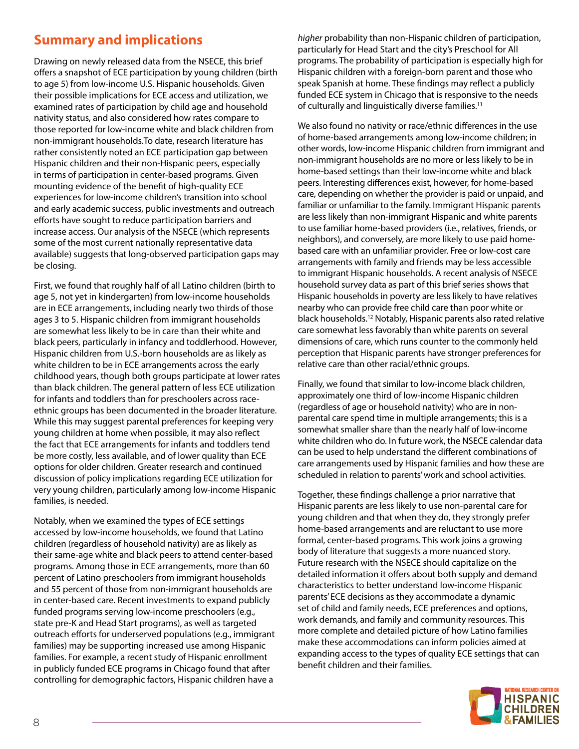# **Summary and implications**

Drawing on newly released data from the NSECE, this brief offers a snapshot of ECE participation by young children (birth to age 5) from low-income U.S. Hispanic households. Given their possible implications for ECE access and utilization, we examined rates of participation by child age and household nativity status, and also considered how rates compare to those reported for low-income white and black children from non-immigrant households.To date, research literature has rather consistently noted an ECE participation gap between Hispanic children and their non-Hispanic peers, especially in terms of participation in center-based programs. Given mounting evidence of the benefit of high-quality ECE experiences for low-income children's transition into school and early academic success, public investments and outreach efforts have sought to reduce participation barriers and increase access. Our analysis of the NSECE (which represents some of the most current nationally representative data available) suggests that long-observed participation gaps may be closing.

First, we found that roughly half of all Latino children (birth to age 5, not yet in kindergarten) from low-income households are in ECE arrangements, including nearly two thirds of those ages 3 to 5. Hispanic children from immigrant households are somewhat less likely to be in care than their white and black peers, particularly in infancy and toddlerhood. However, Hispanic children from U.S.-born households are as likely as white children to be in ECE arrangements across the early childhood years, though both groups participate at lower rates than black children. The general pattern of less ECE utilization for infants and toddlers than for preschoolers across raceethnic groups has been documented in the broader literature. While this may suggest parental preferences for keeping very young children at home when possible, it may also reflect the fact that ECE arrangements for infants and toddlers tend be more costly, less available, and of lower quality than ECE options for older children. Greater research and continued discussion of policy implications regarding ECE utilization for very young children, particularly among low-income Hispanic families, is needed.

Notably, when we examined the types of ECE settings accessed by low-income households, we found that Latino children (regardless of household nativity) are as likely as their same-age white and black peers to attend center-based programs. Among those in ECE arrangements, more than 60 percent of Latino preschoolers from immigrant households and 55 percent of those from non-immigrant households are in center-based care. Recent investments to expand publicly funded programs serving low-income preschoolers (e.g., state pre-K and Head Start programs), as well as targeted outreach efforts for underserved populations (e.g., immigrant families) may be supporting increased use among Hispanic families. For example, a recent study of Hispanic enrollment in publicly funded ECE programs in Chicago found that after controlling for demographic factors, Hispanic children have a

*higher* probability than non-Hispanic children of participation, particularly for Head Start and the city's Preschool for All programs. The probability of participation is especially high for Hispanic children with a foreign-born parent and those who speak Spanish at home. These findings may reflect a publicly funded ECE system in Chicago that is responsive to the needs of culturally and linguistically diverse families.<sup>11</sup>

We also found no nativity or race/ethnic differences in the use of home-based arrangements among low-income children; in other words, low-income Hispanic children from immigrant and non-immigrant households are no more or less likely to be in home-based settings than their low-income white and black peers. Interesting differences exist, however, for home-based care, depending on whether the provider is paid or unpaid, and familiar or unfamiliar to the family. Immigrant Hispanic parents are less likely than non-immigrant Hispanic and white parents to use familiar home-based providers (i.e., relatives, friends, or neighbors), and conversely, are more likely to use paid homebased care with an unfamiliar provider. Free or low-cost care arrangements with family and friends may be less accessible to immigrant Hispanic households. A recent analysis of NSECE household survey data as part of this brief series shows that Hispanic households in poverty are less likely to have relatives nearby who can provide free child care than poor white or black households.12 Notably, Hispanic parents also rated relative care somewhat less favorably than white parents on several dimensions of care, which runs counter to the commonly held perception that Hispanic parents have stronger preferences for relative care than other racial/ethnic groups.

Finally, we found that similar to low-income black children, approximately one third of low-income Hispanic children (regardless of age or household nativity) who are in nonparental care spend time in multiple arrangements; this is a somewhat smaller share than the nearly half of low-income white children who do. In future work, the NSECE calendar data can be used to help understand the different combinations of care arrangements used by Hispanic families and how these are scheduled in relation to parents' work and school activities.

Together, these findings challenge a prior narrative that Hispanic parents are less likely to use non-parental care for young children and that when they do, they strongly prefer home-based arrangements and are reluctant to use more formal, center-based programs. This work joins a growing body of literature that suggests a more nuanced story. Future research with the NSECE should capitalize on the detailed information it offers about both supply and demand characteristics to better understand low-income Hispanic parents' ECE decisions as they accommodate a dynamic set of child and family needs, ECE preferences and options, work demands, and family and community resources. This more complete and detailed picture of how Latino families make these accommodations can inform policies aimed at expanding access to the types of quality ECE settings that can benefit children and their families.

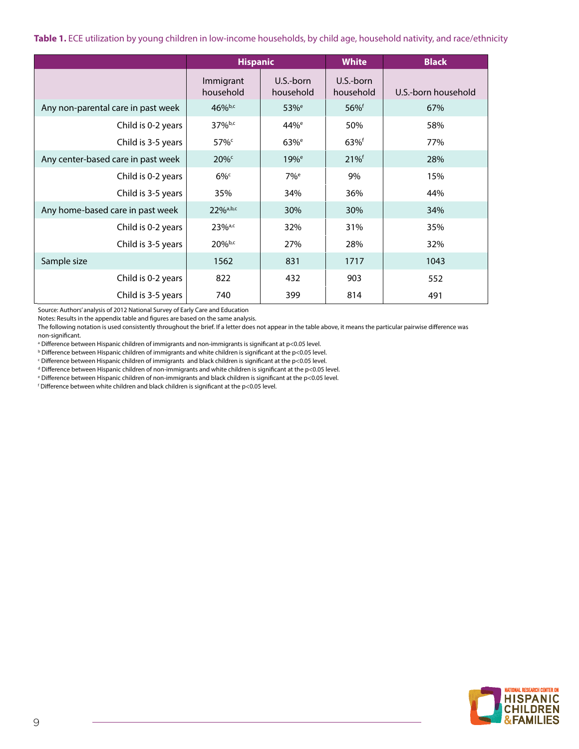**Table 1.** ECE utilization by young children in low-income households, by child age, household nativity, and race/ethnicity

|                                    | <b>Hispanic</b>        |                        | <b>White</b>           | <b>Black</b>        |
|------------------------------------|------------------------|------------------------|------------------------|---------------------|
|                                    | Immigrant<br>household | U.S.-born<br>household | U.S.-born<br>household | U.S.-born household |
| Any non-parental care in past week | 46%b,c                 | 53% <sup>e</sup>       | $56%$ <sup>f</sup>     | 67%                 |
| Child is 0-2 years                 | 37%b,c                 | 44% <sup>e</sup>       | 50%                    | 58%                 |
| Child is 3-5 years                 | $57\%$                 | $63%$ <sup>e</sup>     | $63\%$ <sup>f</sup>    | 77%                 |
| Any center-based care in past week | $20\%$                 | $19%$ <sup>e</sup>     | 21%                    | 28%                 |
| Child is 0-2 years                 | $6\%$                  | $7\%$ <sup>e</sup>     | 9%                     | 15%                 |
| Child is 3-5 years                 | 35%                    | 34%                    | 36%                    | 44%                 |
| Any home-based care in past week   | 22%a,b,c               | 30%                    | 30%                    | 34%                 |
| Child is 0-2 years                 | $23%^{a,c}$            | 32%                    | 31%                    | 35%                 |
| Child is 3-5 years                 | $20%$ <sub>b,c</sub>   | 27%                    | 28%                    | 32%                 |
| Sample size                        | 1562                   | 831                    | 1717                   | 1043                |
| Child is 0-2 years                 | 822                    | 432                    | 903                    | 552                 |
| Child is 3-5 years                 | 740                    | 399                    | 814                    | 491                 |

Source: Authors' analysis of 2012 National Survey of Early Care and Education

Notes: Results in the appendix table and figures are based on the same analysis.

The following notation is used consistently throughout the brief. If a letter does not appear in the table above, it means the particular pairwise difference was non-significant.

<sup>a</sup> Difference between Hispanic children of immigrants and non-immigrants is significant at p<0.05 level.

 $^{\rm b}$  Difference between Hispanic children of immigrants and white children is significant at the p<0.05 level.

 $\epsilon$  Difference between Hispanic children of immigrants and black children is significant at the p<0.05 level.

 $^d$  Difference between Hispanic children of non-immigrants and white children is significant at the p<0.05 level.

e Difference between Hispanic children of non-immigrants and black children is significant at the p<0.05 level.

 $f$  Difference between white children and black children is significant at the p<0.05 level.

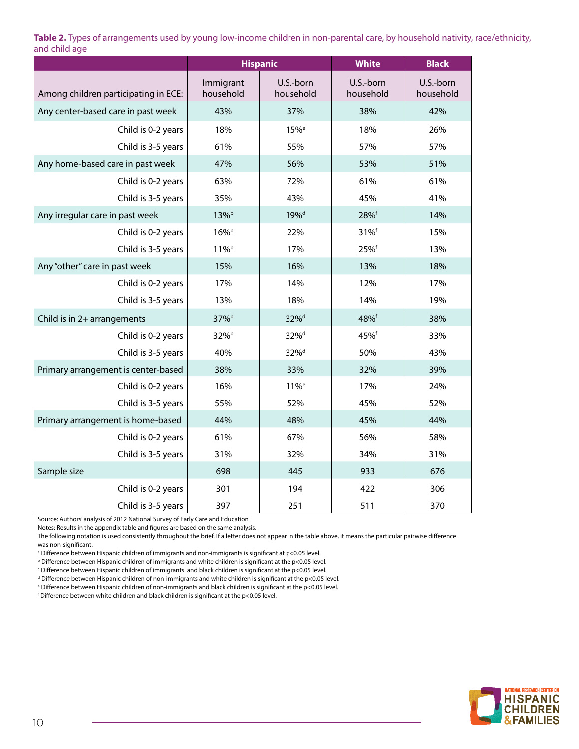**Table 2.** Types of arrangements used by young low-income children in non-parental care, by household nativity, race/ethnicity, and child age

|                                      | <b>Hispanic</b>        |                        | <b>White</b>           | <b>Black</b>           |
|--------------------------------------|------------------------|------------------------|------------------------|------------------------|
| Among children participating in ECE: | Immigrant<br>household | U.S.-born<br>household | U.S.-born<br>household | U.S.-born<br>household |
| Any center-based care in past week   | 43%                    | 37%                    | 38%                    | 42%                    |
| Child is 0-2 years                   | 18%                    | 15% <sup>e</sup>       | 18%                    | 26%                    |
| Child is 3-5 years                   | 61%                    | 55%                    | 57%                    | 57%                    |
| Any home-based care in past week     | 47%                    | 56%                    | 53%                    | 51%                    |
| Child is 0-2 years                   | 63%                    | 72%                    | 61%                    | 61%                    |
| Child is 3-5 years                   | 35%                    | 43%                    | 45%                    | 41%                    |
| Any irregular care in past week      | 13%b                   | 19% <sup>d</sup>       | 28%f                   | 14%                    |
| Child is 0-2 years                   | $16\%^{\rm b}$         | 22%                    | 31%f                   | 15%                    |
| Child is 3-5 years                   | 11%b                   | 17%                    | 25%f                   | 13%                    |
| Any "other" care in past week        | 15%                    | 16%                    | 13%                    | 18%                    |
| Child is 0-2 years                   | 17%                    | 14%                    | 12%                    | 17%                    |
| Child is 3-5 years                   | 13%                    | 18%                    | 14%                    | 19%                    |
| Child is in 2+ arrangements          | 37% <sup>b</sup>       | 32% <sup>d</sup>       | 48%f                   | 38%                    |
| Child is 0-2 years                   | 32% <sup>b</sup>       | 32% <sup>d</sup>       | 45%f                   | 33%                    |
| Child is 3-5 years                   | 40%                    | 32% <sup>d</sup>       | 50%                    | 43%                    |
| Primary arrangement is center-based  | 38%                    | 33%                    | 32%                    | 39%                    |
| Child is 0-2 years                   | 16%                    | 11% <sup>e</sup>       | 17%                    | 24%                    |
| Child is 3-5 years                   | 55%                    | 52%                    | 45%                    | 52%                    |
| Primary arrangement is home-based    | 44%                    | 48%                    | 45%                    | 44%                    |
| Child is 0-2 years                   | 61%                    | 67%                    | 56%                    | 58%                    |
| Child is 3-5 years                   | 31%                    | 32%                    | 34%                    | 31%                    |
| Sample size                          | 698                    | 445                    | 933                    | 676                    |
| Child is 0-2 years                   | 301                    | 194                    | 422                    | 306                    |
| Child is 3-5 years                   | 397                    | 251                    | 511                    | 370                    |

Source: Authors' analysis of 2012 National Survey of Early Care and Education

Notes: Results in the appendix table and figures are based on the same analysis.

The following notation is used consistently throughout the brief. If a letter does not appear in the table above, it means the particular pairwise difference was non-significant.

 $^\mathrm{a}$  Difference between Hispanic children of immigrants and non-immigrants is significant at p<0.05 level.

 $^{\rm b}$  Difference between Hispanic children of immigrants and white children is significant at the p<0.05 level.

 $\,^{\rm c}$  Difference between Hispanic children of immigrants  $\,$  and black children is significant at the p $<$ 0.05 level.

 $^{\rm d}$  Difference between Hispanic children of non-immigrants and white children is significant at the p<0.05 level.

e Difference between Hispanic children of non-immigrants and black children is significant at the p<0.05 level.

f Difference between white children and black children is significant at the p<0.05 level.

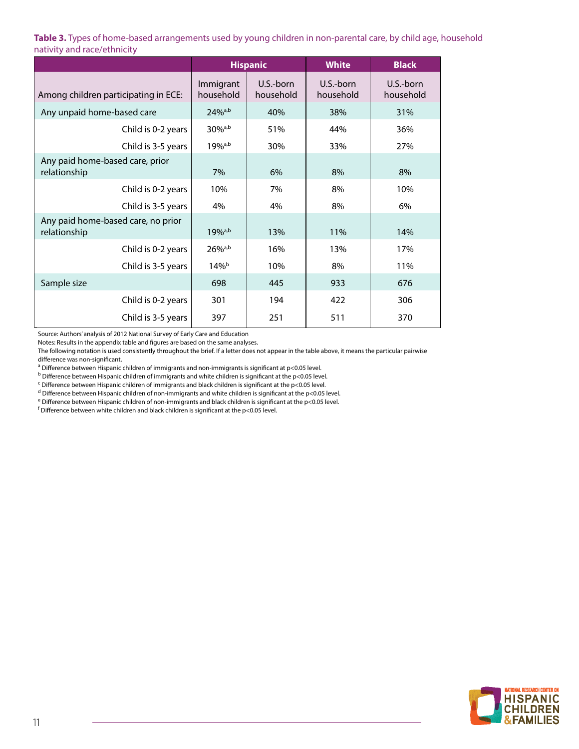**Table 3.** Types of home-based arrangements used by young children in non-parental care, by child age, household nativity and race/ethnicity

|                                                    | <b>Hispanic</b>        |                        | <b>White</b>           | <b>Black</b>           |
|----------------------------------------------------|------------------------|------------------------|------------------------|------------------------|
| Among children participating in ECE:               | Immigrant<br>household | U.S.-born<br>household | U.S.-born<br>household | U.S.-born<br>household |
| Any unpaid home-based care                         | $24\%^{a,b}$           | 40%                    | 38%                    | 31%                    |
| Child is 0-2 years                                 | $30%^{a,b}$            | 51%                    | 44%                    | 36%                    |
| Child is 3-5 years                                 | 19% <sup>a,b</sup>     | 30%                    | 33%                    | 27%                    |
| Any paid home-based care, prior<br>relationship    | 7%                     | 6%                     | 8%                     | 8%                     |
| Child is 0-2 years                                 | 10%                    | 7%                     | 8%                     | 10%                    |
| Child is 3-5 years                                 | 4%                     | 4%                     | 8%                     | 6%                     |
| Any paid home-based care, no prior<br>relationship | $19%^{a,b}$            | 13%                    | 11%                    | 14%                    |
| Child is 0-2 years                                 | $26\%$ <sup>a,b</sup>  | 16%                    | 13%                    | 17%                    |
| Child is 3-5 years                                 | $14\%$ <sup>b</sup>    | 10%                    | 8%                     | 11%                    |
| Sample size                                        | 698                    | 445                    | 933                    | 676                    |
| Child is 0-2 years                                 | 301                    | 194                    | 422                    | 306                    |
| Child is 3-5 years                                 | 397                    | 251                    | 511                    | 370                    |

Source: Authors' analysis of 2012 National Survey of Early Care and Education

Notes: Results in the appendix table and figures are based on the same analyses.

The following notation is used consistently throughout the brief. If a letter does not appear in the table above, it means the particular pairwise difference was non-significant.

<sup>a</sup> Difference between Hispanic children of immigrants and non-immigrants is significant at p<0.05 level.

<sup>b</sup> Difference between Hispanic children of immigrants and white children is significant at the p<0.05 level.

<sup>c</sup> Difference between Hispanic children of immigrants and black children is significant at the p<0.05 level.

<sup>d</sup> Difference between Hispanic children of non-immigrants and white children is significant at the p<0.05 level.

<sup>e</sup> Difference between Hispanic children of non-immigrants and black children is significant at the p<0.05 level.

 $^{\mathsf{f}}$  Difference between white children and black children is significant at the p<0.05 level.

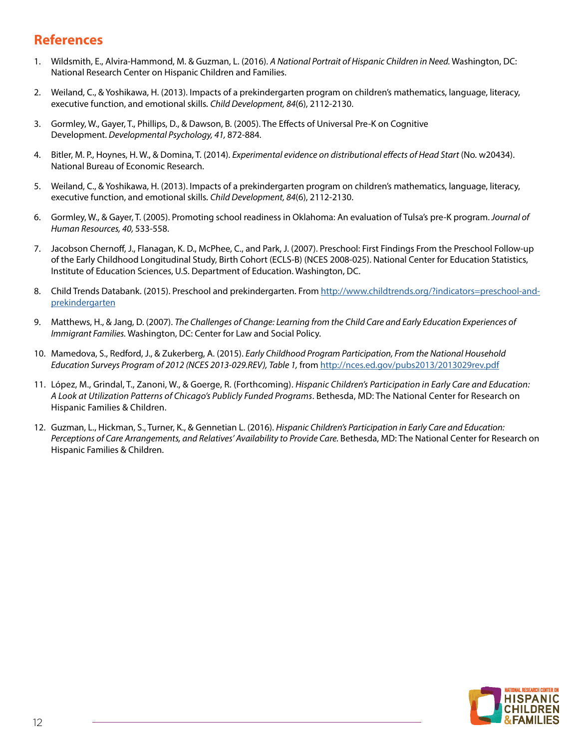# **References**

- 1. Wildsmith, E., Alvira-Hammond, M. & Guzman, L. (2016). *A National Portrait of Hispanic Children in Need.* Washington, DC: National Research Center on Hispanic Children and Families.
- 2. Weiland, C., & Yoshikawa, H. (2013). Impacts of a prekindergarten program on children's mathematics, language, literacy, executive function, and emotional skills*. Child Development, 84*(6), 2112-2130.
- 3. Gormley, W., Gayer, T., Phillips, D., & Dawson, B. (2005). The Effects of Universal Pre-K on Cognitive Development. *Developmental Psychology, 41,* 872-884.
- 4. Bitler, M. P., Hoynes, H. W., & Domina, T. (2014). *Experimental evidence on distributional effects of Head Start* (No. w20434). National Bureau of Economic Research.
- 5. Weiland, C., & Yoshikawa, H. (2013). Impacts of a prekindergarten program on children's mathematics, language, literacy, executive function, and emotional skills*. Child Development, 84*(6), 2112-2130.
- 6. Gormley, W., & Gayer, T. (2005). Promoting school readiness in Oklahoma: An evaluation of Tulsa's pre-K program. *Journal of Human Resources, 40,* 533-558.
- 7. Jacobson Chernoff, J., Flanagan, K. D., McPhee, C., and Park, J. (2007). Preschool: First Findings From the Preschool Follow-up of the Early Childhood Longitudinal Study, Birth Cohort (ECLS-B) (NCES 2008-025). National Center for Education Statistics, Institute of Education Sciences, U.S. Department of Education. Washington, DC.
- 8. Child Trends Databank. (2015). Preschool and prekindergarten. From [http://www.childtrends.org/?indicators=preschool-and](http://www.childtrends.org/?indicators=preschool-and-prekindergarten)[prekindergarten](http://www.childtrends.org/?indicators=preschool-and-prekindergarten)
- 9. Matthews, H., & Jang, D. (2007). *The Challenges of Change: Learning from the Child Care and Early Education Experiences of Immigrant Families.* Washington, DC: Center for Law and Social Policy.
- 10. Mamedova, S., Redford, J., & Zukerberg, A. (2015). *Early Childhood Program Participation, From the National Household Education Surveys Program of 2012 (NCES 2013-029.REV), Table 1,* from <http://nces.ed.gov/pubs2013/2013029rev.pdf>
- 11. López, M., Grindal, T., Zanoni, W., & Goerge, R. (Forthcoming). *Hispanic Children's Participation in Early Care and Education: A Look at Utilization Patterns of Chicago's Publicly Funded Programs*. Bethesda, MD: The National Center for Research on Hispanic Families & Children.
- 12. Guzman, L., Hickman, S., Turner, K., & Gennetian L. (2016). *Hispanic Children's Participation in Early Care and Education:*  Perceptions of Care Arrangements, and Relatives' Availability to Provide Care. Bethesda, MD: The National Center for Research on Hispanic Families & Children.